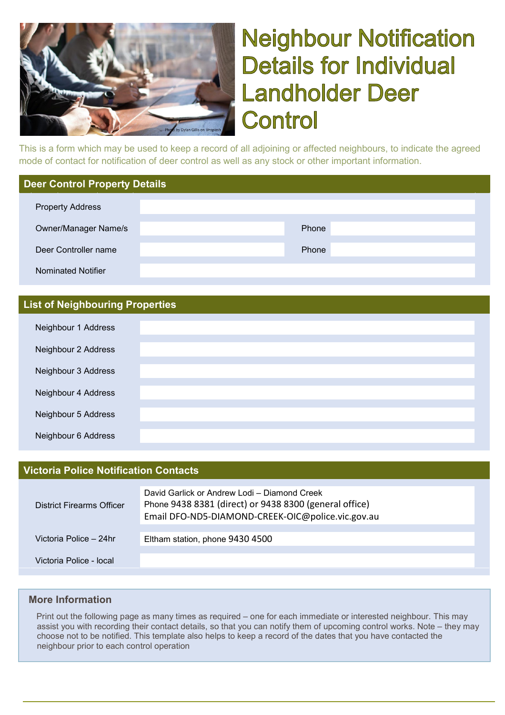

# **Neighbour Notification Details for Individual Landholder Deer** Control

This is a form which may be used to keep a record of all adjoining or affected neighbours, to indicate the agreed mode of contact for notification of deer control as well as any stock or other important information.

#### **Deer Control Property Details**

| <b>Property Address</b>     |       |
|-----------------------------|-------|
|                             |       |
| <b>Owner/Manager Name/s</b> | Phone |
|                             |       |
| Deer Controller name        | Phone |
|                             |       |
| <b>Nominated Notifier</b>   |       |

#### **List of Neighbouring Properties**

| Neighbour 1 Address |  |
|---------------------|--|
| Neighbour 2 Address |  |
| Neighbour 3 Address |  |
| Neighbour 4 Address |  |
| Neighbour 5 Address |  |
| Neighbour 6 Address |  |

#### **Victoria Police Notification Contacts**

| <b>District Firearms Officer</b> | David Garlick or Andrew Lodi – Diamond Creek<br>Phone 9438 8381 (direct) or 9438 8300 (general office)<br>Email DFO-ND5-DIAMOND-CREEK-OIC@police.vic.gov.au |
|----------------------------------|-------------------------------------------------------------------------------------------------------------------------------------------------------------|
| Victoria Police - 24hr           | Eltham station, phone 9430 4500                                                                                                                             |
| Victoria Police - local          |                                                                                                                                                             |

#### **More Information**

 Print out the following page as many times as required – one for each immediate or interested neighbour. This may assist you with recording their contact details, so that you can notify them of upcoming control works. Note – they may choose not to be notified. This template also helps to keep a record of the dates that you have contacted the neighbour prior to each control operation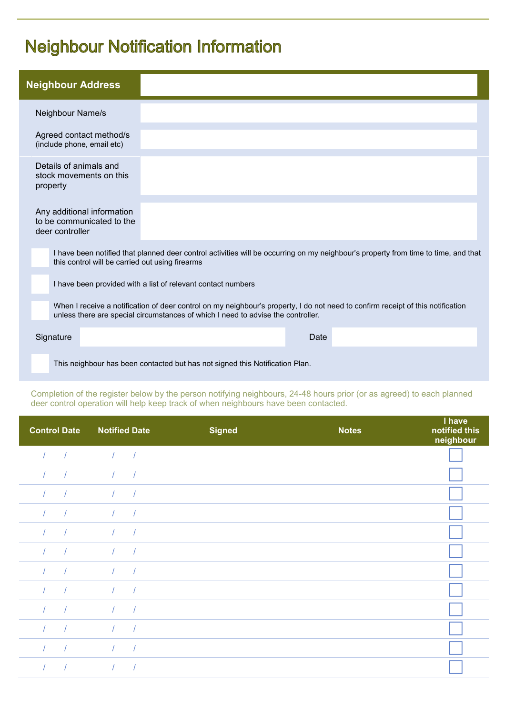### **Neighbour Notification Information**

| <b>Neighbour Address</b>                                                   |                                                                                                                                                                                                                     |
|----------------------------------------------------------------------------|---------------------------------------------------------------------------------------------------------------------------------------------------------------------------------------------------------------------|
| Neighbour Name/s                                                           |                                                                                                                                                                                                                     |
| Agreed contact method/s<br>(include phone, email etc)                      |                                                                                                                                                                                                                     |
| Details of animals and<br>stock movements on this<br>property              |                                                                                                                                                                                                                     |
| Any additional information<br>to be communicated to the<br>deer controller |                                                                                                                                                                                                                     |
| this control will be carried out using firearms                            | I have been notified that planned deer control activities will be occurring on my neighbour's property from time to time, and that                                                                                  |
|                                                                            | I have been provided with a list of relevant contact numbers                                                                                                                                                        |
|                                                                            | When I receive a notification of deer control on my neighbour's property, I do not need to confirm receipt of this notification<br>unless there are special circumstances of which I need to advise the controller. |
| Signature                                                                  | Date                                                                                                                                                                                                                |
|                                                                            | This neighbour has been contacted but has not signed this Notification Plan.                                                                                                                                        |

Completion of the register below by the person notifying neighbours, 24-48 hours prior (or as agreed) to each planned deer control operation will help keep track of when neighbours have been contacted.

| <b>Control Date</b> | <b>Notified Date</b>     | <b>Signed</b> | <b>Notes</b> | I have<br>notified this<br>neighbour |
|---------------------|--------------------------|---------------|--------------|--------------------------------------|
|                     | $\sqrt{ }$               |               |              |                                      |
| $\frac{1}{2}$       | $\sqrt{ }$<br>$\sqrt{ }$ |               |              |                                      |
|                     | $\sqrt{2}$               |               |              |                                      |
|                     |                          |               |              |                                      |
|                     | $\sqrt{ }$               |               |              |                                      |
| $\frac{1}{2}$       | $\sqrt{ }$<br>$\sqrt{ }$ |               |              |                                      |
|                     | $\sqrt{2}$               |               |              |                                      |
|                     |                          |               |              |                                      |
|                     | $\prime$                 |               |              |                                      |
| $\sqrt{ }$          | $\sqrt{ }$<br>$\sqrt{ }$ |               |              |                                      |
| $\frac{1}{2}$       | $\sqrt{2}$               |               |              |                                      |
|                     |                          |               |              |                                      |